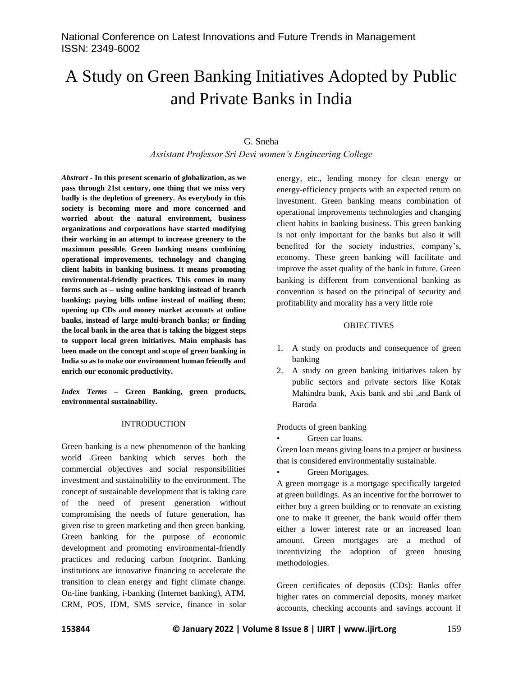# A Study on Green Banking Initiatives Adopted by Public and Private Banks in India

#### G. Sneha

*Assistant Professor Sri Devi women's Engineering College*

*Abstract -* **In this present scenario of globalization, as we pass through 21st century, one thing that we miss very badly is the depletion of greenery. As everybody in this society is becoming more and more concerned and worried about the natural environment, business organizations and corporations have started modifying their working in an attempt to increase greenery to the maximum possible. Green banking means combining operational improvements, technology and changing client habits in banking business. It means promoting environmental-friendly practices. This comes in many forms such as – using online banking instead of branch banking; paying bills online instead of mailing them; opening up CDs and money market accounts at online banks, instead of large multi-branch banks; or finding the local bank in the area that is taking the biggest steps to support local green initiatives. Main emphasis has been made on the concept and scope of green banking in India so as to make our environment human friendly and enrich our economic productivity.**

*Index Terms –* **Green Banking, green products, environmental sustainability.**

#### INTRODUCTION

Green banking is a new phenomenon of the banking world .Green banking which serves both the commercial objectives and social responsibilities investment and sustainability to the environment. The concept of sustainable development that is taking care of the need of present generation without compromising the needs of future generation, has given rise to green marketing and then green banking. Green banking for the purpose of economic development and promoting environmental-friendly practices and reducing carbon footprint. Banking institutions are innovative financing to accelerate the transition to clean energy and fight climate change. On-line banking, i-banking (Internet banking), ATM, CRM, POS, IDM, SMS service, finance in solar energy, etc., lending money for clean energy or energy-efficiency projects with an expected return on investment. Green banking means combination of operational improvements technologies and changing client habits in banking business. This green banking is not only important for the banks but also it will benefited for the society industries, company's, economy. These green banking will facilitate and improve the asset quality of the bank in future. Green banking is different from conventional banking as convention is based on the principal of security and profitability and morality has a very little role

#### **OBJECTIVES**

- 1. A study on products and consequence of green banking
- 2. A study on green banking initiatives taken by public sectors and private sectors like Kotak Mahindra bank, Axis bank and sbi ,and Bank of Baroda

Products of green banking

Green car loans.

Green loan means giving loans to a project or business that is considered environmentally sustainable.

Green Mortgages.

A green mortgage is a mortgage specifically targeted at green buildings. As an incentive for the borrower to either buy a green building or to renovate an existing one to make it greener, the bank would offer them either a lower interest rate or an increased loan amount. Green mortgages are a method of incentivizing the adoption of green housing methodologies.

Green certificates of deposits (CDs): Banks offer higher rates on commercial deposits, money market accounts, checking accounts and savings account if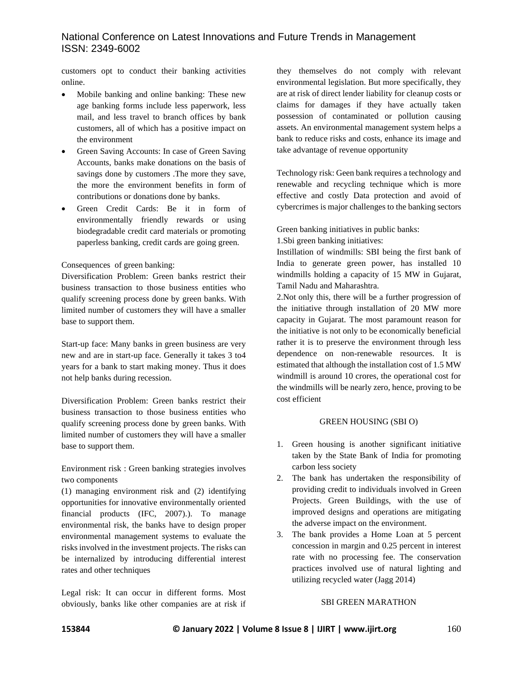customers opt to conduct their banking activities online.

- Mobile banking and online banking: These new age banking forms include less paperwork, less mail, and less travel to branch offices by bank customers, all of which has a positive impact on the environment
- Green Saving Accounts: In case of Green Saving Accounts, banks make donations on the basis of savings done by customers .The more they save, the more the environment benefits in form of contributions or donations done by banks.
- Green Credit Cards: Be it in form of environmentally friendly rewards or using biodegradable credit card materials or promoting paperless banking, credit cards are going green.

## Consequences of green banking:

Diversification Problem: Green banks restrict their business transaction to those business entities who qualify screening process done by green banks. With limited number of customers they will have a smaller base to support them.

Start-up face: Many banks in green business are very new and are in start-up face. Generally it takes 3 to4 years for a bank to start making money. Thus it does not help banks during recession.

Diversification Problem: Green banks restrict their business transaction to those business entities who qualify screening process done by green banks. With limited number of customers they will have a smaller base to support them.

Environment risk : Green banking strategies involves two components

(1) managing environment risk and (2) identifying opportunities for innovative environmentally oriented financial products (IFC, 2007).). To manage environmental risk, the banks have to design proper environmental management systems to evaluate the risks involved in the investment projects. The risks can be internalized by introducing differential interest rates and other techniques

Legal risk: It can occur in different forms. Most obviously, banks like other companies are at risk if they themselves do not comply with relevant environmental legislation. But more specifically, they are at risk of direct lender liability for cleanup costs or claims for damages if they have actually taken possession of contaminated or pollution causing assets. An environmental management system helps a bank to reduce risks and costs, enhance its image and take advantage of revenue opportunity

Technology risk: Geen bank requires a technology and renewable and recycling technique which is more effective and costly Data protection and avoid of cybercrimes is major challenges to the banking sectors

Green banking initiatives in public banks:

1.Sbi green banking initiatives:

Instillation of windmills: SBI being the first bank of India to generate green power, has installed 10 windmills holding a capacity of 15 MW in Gujarat, Tamil Nadu and Maharashtra.

2.Not only this, there will be a further progression of the initiative through installation of 20 MW more capacity in Gujarat. The most paramount reason for the initiative is not only to be economically beneficial rather it is to preserve the environment through less dependence on non-renewable resources. It is estimated that although the installation cost of 1.5 MW windmill is around 10 crores, the operational cost for the windmills will be nearly zero, hence, proving to be cost efficient

### GREEN HOUSING (SBI O)

- 1. Green housing is another significant initiative taken by the State Bank of India for promoting carbon less society
- 2. The bank has undertaken the responsibility of providing credit to individuals involved in Green Projects. Green Buildings, with the use of improved designs and operations are mitigating the adverse impact on the environment.
- 3. The bank provides a Home Loan at 5 percent concession in margin and 0.25 percent in interest rate with no processing fee. The conservation practices involved use of natural lighting and utilizing recycled water (Jagg 2014)

## SBI GREEN MARATHON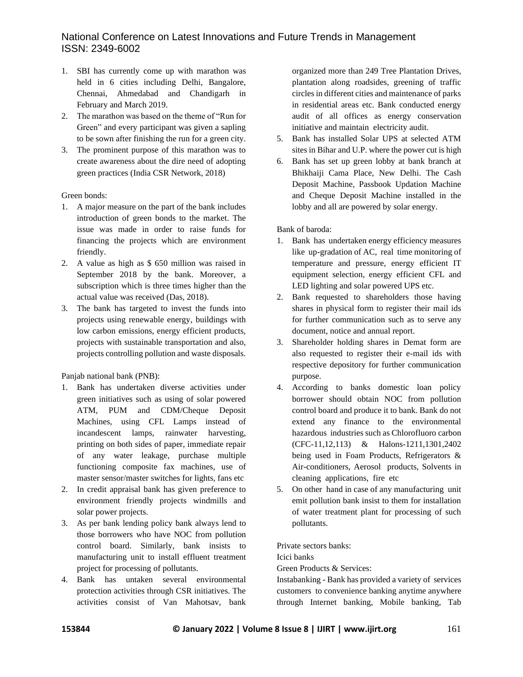- 1. SBI has currently come up with marathon was held in 6 cities including Delhi, Bangalore, Chennai, Ahmedabad and Chandigarh in February and March 2019.
- 2. The marathon was based on the theme of "Run for Green" and every participant was given a sapling to be sown after finishing the run for a green city.
- 3. The prominent purpose of this marathon was to create awareness about the dire need of adopting green practices (India CSR Network, 2018)

Green bonds:

- 1. A major measure on the part of the bank includes introduction of green bonds to the market. The issue was made in order to raise funds for financing the projects which are environment friendly.
- 2. A value as high as \$ 650 million was raised in September 2018 by the bank. Moreover, a subscription which is three times higher than the actual value was received (Das, 2018).
- 3. The bank has targeted to invest the funds into projects using renewable energy, buildings with low carbon emissions, energy efficient products, projects with sustainable transportation and also, projects controlling pollution and waste disposals.

Panjab national bank (PNB):

- 1. Bank has undertaken diverse activities under green initiatives such as using of solar powered ATM, PUM and CDM/Cheque Deposit Machines, using CFL Lamps instead of incandescent lamps, rainwater harvesting, printing on both sides of paper, immediate repair of any water leakage, purchase multiple functioning composite fax machines, use of master sensor/master switches for lights, fans etc
- 2. In credit appraisal bank has given preference to environment friendly projects windmills and solar power projects.
- 3. As per bank lending policy bank always lend to those borrowers who have NOC from pollution control board. Similarly, bank insists to manufacturing unit to install effluent treatment project for processing of pollutants.
- 4. Bank has untaken several environmental protection activities through CSR initiatives. The activities consist of Van Mahotsav, bank

organized more than 249 Tree Plantation Drives, plantation along roadsides, greening of traffic circles in different cities and maintenance of parks in residential areas etc. Bank conducted energy audit of all offices as energy conservation initiative and maintain electricity audit.

- 5. Bank has installed Solar UPS at selected ATM sites in Bihar and U.P. where the power cut is high
- 6. Bank has set up green lobby at bank branch at Bhikhaiji Cama Place, New Delhi. The Cash Deposit Machine, Passbook Updation Machine and Cheque Deposit Machine installed in the lobby and all are powered by solar energy.

Bank of baroda:

- 1. Bank has undertaken energy efficiency measures like up-gradation of AC, real time monitoring of temperature and pressure, energy efficient IT equipment selection, energy efficient CFL and LED lighting and solar powered UPS etc.
- 2. Bank requested to shareholders those having shares in physical form to register their mail ids for further communication such as to serve any document, notice and annual report.
- 3. Shareholder holding shares in Demat form are also requested to register their e-mail ids with respective depository for further communication purpose.
- 4. According to banks domestic loan policy borrower should obtain NOC from pollution control board and produce it to bank. Bank do not extend any finance to the environmental hazardous industries such as Chlorofluoro carbon (CFC-11,12,113) & Halons-1211,1301,2402 being used in Foam Products, Refrigerators & Air-conditioners, Aerosol products, Solvents in cleaning applications, fire etc
- 5. On other hand in case of any manufacturing unit emit pollution bank insist to them for installation of water treatment plant for processing of such pollutants.

Private sectors banks:

Icici banks

Green Products & Services:

Instabanking - Bank has provided a variety of services customers to convenience banking anytime anywhere through Internet banking, Mobile banking, Tab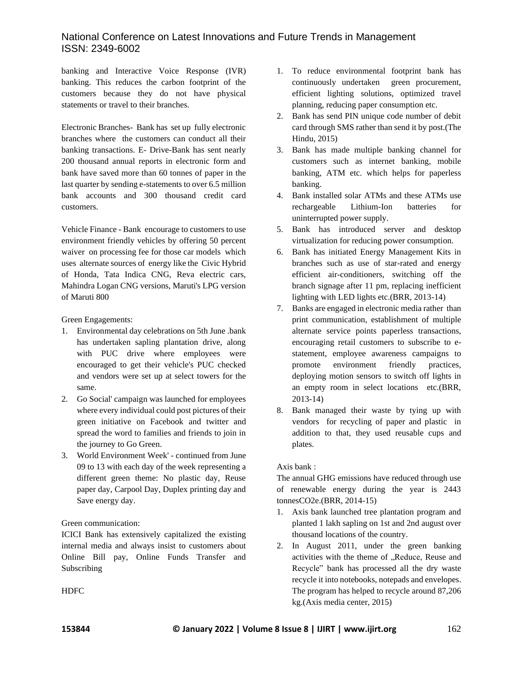banking and Interactive Voice Response (IVR) banking. This reduces the carbon footprint of the customers because they do not have physical statements or travel to their branches.

Electronic Branches- Bank has set up fully electronic branches where the customers can conduct all their banking transactions. E- Drive-Bank has sent nearly 200 thousand annual reports in electronic form and bank have saved more than 60 tonnes of paper in the last quarter by sending e-statements to over 6.5 million bank accounts and 300 thousand credit card customers.

Vehicle Finance - Bank encourage to customers to use environment friendly vehicles by offering 50 percent waiver on processing fee for those car models which uses alternate sources of energy like the Civic Hybrid of Honda, Tata Indica CNG, Reva electric cars, Mahindra Logan CNG versions, Maruti's LPG version of Maruti 800

Green Engagements:

- 1. Environmental day celebrations on 5th June .bank has undertaken sapling plantation drive, along with PUC drive where employees were encouraged to get their vehicle's PUC checked and vendors were set up at select towers for the same.
- 2. Go Social' campaign was launched for employees where every individual could post pictures of their green initiative on Facebook and twitter and spread the word to families and friends to join in the journey to Go Green.
- 3. World Environment Week' continued from June 09 to 13 with each day of the week representing a different green theme: No plastic day, Reuse paper day, Carpool Day, Duplex printing day and Save energy day.

## Green communication:

ICICI Bank has extensively capitalized the existing internal media and always insist to customers about Online Bill pay, Online Funds Transfer and Subscribing

- 1. To reduce environmental footprint bank has continuously undertaken green procurement, efficient lighting solutions, optimized travel planning, reducing paper consumption etc.
- 2. Bank has send PIN unique code number of debit card through SMS rather than send it by post.(The Hindu, 2015)
- 3. Bank has made multiple banking channel for customers such as internet banking, mobile banking, ATM etc. which helps for paperless banking.
- 4. Bank installed solar ATMs and these ATMs use rechargeable Lithium-Ion batteries for uninterrupted power supply.
- 5. Bank has introduced server and desktop virtualization for reducing power consumption.
- 6. Bank has initiated Energy Management Kits in branches such as use of star-rated and energy efficient air-conditioners, switching off the branch signage after 11 pm, replacing inefficient lighting with LED lights etc.(BRR, 2013-14)
- 7. Banks are engaged in electronic media rather than print communication, establishment of multiple alternate service points paperless transactions, encouraging retail customers to subscribe to estatement, employee awareness campaigns to promote environment friendly practices, deploying motion sensors to switch off lights in an empty room in select locations etc.(BRR, 2013-14)
- 8. Bank managed their waste by tying up with vendors for recycling of paper and plastic in addition to that, they used reusable cups and plates.

## Axis bank :

The annual GHG emissions have reduced through use of renewable energy during the year is 2443 tonnesCO2e.(BRR, 2014-15)

- 1. Axis bank launched tree plantation program and planted 1 lakh sapling on 1st and 2nd august over thousand locations of the country.
- 2. In August 2011, under the green banking activities with the theme of "Reduce, Reuse and Recycle" bank has processed all the dry waste recycle it into notebooks, notepads and envelopes. The program has helped to recycle around 87,206 kg.(Axis media center, 2015)

**HDFC**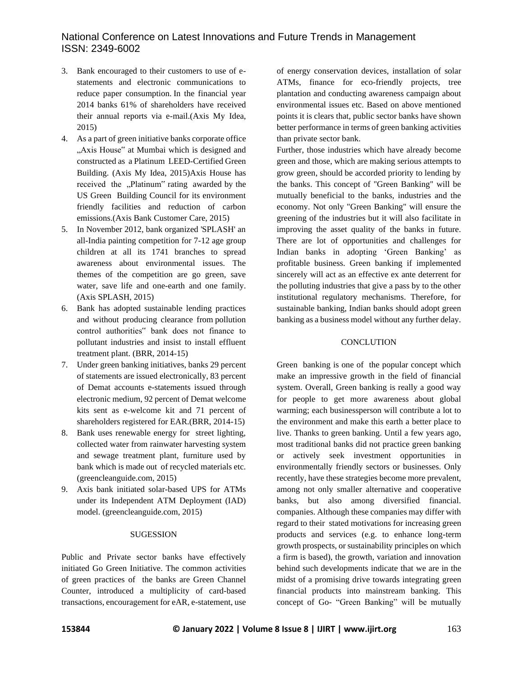- 3. Bank encouraged to their customers to use of estatements and electronic communications to reduce paper consumption. In the financial year 2014 banks 61% of shareholders have received their annual reports via e-mail.(Axis My Idea, 2015)
- 4. As a part of green initiative banks corporate office "Axis House" at Mumbai which is designed and constructed as a Platinum LEED-Certified Green Building. (Axis My Idea, 2015)Axis House has received the "Platinum" rating awarded by the US Green Building Council for its environment friendly facilities and reduction of carbon emissions.(Axis Bank Customer Care, 2015)
- 5. In November 2012, bank organized 'SPLASH' an all-India painting competition for 7-12 age group children at all its 1741 branches to spread awareness about environmental issues. The themes of the competition are go green, save water, save life and one-earth and one family. (Axis SPLASH, 2015)
- 6. Bank has adopted sustainable lending practices and without producing clearance from pollution control authorities" bank does not finance to pollutant industries and insist to install effluent treatment plant. (BRR, 2014-15)
- 7. Under green banking initiatives, banks 29 percent of statements are issued electronically, 83 percent of Demat accounts e-statements issued through electronic medium, 92 percent of Demat welcome kits sent as e-welcome kit and 71 percent of shareholders registered for EAR.(BRR, 2014-15)
- 8. Bank uses renewable energy for street lighting, collected water from rainwater harvesting system and sewage treatment plant, furniture used by bank which is made out of recycled materials etc. (greencleanguide.com, 2015)
- 9. Axis bank initiated solar-based UPS for ATMs under its Independent ATM Deployment (IAD) model. (greencleanguide.com, 2015)

#### SUGESSION

Public and Private sector banks have effectively initiated Go Green Initiative. The common activities of green practices of the banks are Green Channel Counter, introduced a multiplicity of card-based transactions, encouragement for eAR, e-statement, use of energy conservation devices, installation of solar ATMs, finance for eco-friendly projects, tree plantation and conducting awareness campaign about environmental issues etc. Based on above mentioned points it is clears that, public sector banks have shown better performance in terms of green banking activities than private sector bank.

Further, those industries which have already become green and those, which are making serious attempts to grow green, should be accorded priority to lending by the banks. This concept of "Green Banking" will be mutually beneficial to the banks, industries and the economy. Not only "Green Banking" will ensure the greening of the industries but it will also facilitate in improving the asset quality of the banks in future. There are lot of opportunities and challenges for Indian banks in adopting 'Green Banking' as profitable business. Green banking if implemented sincerely will act as an effective ex ante deterrent for the polluting industries that give a pass by to the other institutional regulatory mechanisms. Therefore, for sustainable banking, Indian banks should adopt green banking as a business model without any further delay.

#### **CONCLUTION**

Green banking is one of the popular concept which make an impressive growth in the field of financial system. Overall, Green banking is really a good way for people to get more awareness about global warming; each businessperson will contribute a lot to the environment and make this earth a better place to live. Thanks to green banking. Until a few years ago, most traditional banks did not practice green banking or actively seek investment opportunities in environmentally friendly sectors or businesses. Only recently, have these strategies become more prevalent, among not only smaller alternative and cooperative banks, but also among diversified financial. companies. Although these companies may differ with regard to their stated motivations for increasing green products and services (e.g. to enhance long-term growth prospects, or sustainability principles on which a firm is based), the growth, variation and innovation behind such developments indicate that we are in the midst of a promising drive towards integrating green financial products into mainstream banking. This concept of Go- "Green Banking" will be mutually